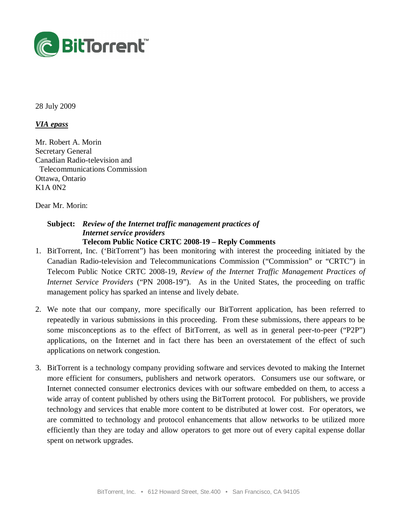

28 July 2009

### *VIA epass*

Mr. Robert A. Morin Secretary General Canadian Radio-television and Telecommunications Commission Ottawa, Ontario K1A 0N2

Dear Mr. Morin:

### **Subject:** *Review of the Internet traffic management practices of Internet service providers* **Telecom Public Notice CRTC 2008-19 – Reply Comments**

- 1. BitTorrent, Inc. ('BitTorrent") has been monitoring with interest the proceeding initiated by the Canadian Radio-television and Telecommunications Commission ("Commission" or "CRTC") in Telecom Public Notice CRTC 2008-19, *Review of the Internet Traffic Management Practices of Internet Service Providers* ("PN 2008-19"). As in the United States, the proceeding on traffic management policy has sparked an intense and lively debate.
- 2. We note that our company, more specifically our BitTorrent application, has been referred to repeatedly in various submissions in this proceeding. From these submissions, there appears to be some misconceptions as to the effect of BitTorrent, as well as in general peer-to-peer ("P2P") applications, on the Internet and in fact there has been an overstatement of the effect of such applications on network congestion.
- 3. BitTorrent is a technology company providing software and services devoted to making the Internet more efficient for consumers, publishers and network operators. Consumers use our software, or Internet connected consumer electronics devices with our software embedded on them, to access a wide array of content published by others using the BitTorrent protocol. For publishers, we provide technology and services that enable more content to be distributed at lower cost. For operators, we are committed to technology and protocol enhancements that allow networks to be utilized more efficiently than they are today and allow operators to get more out of every capital expense dollar spent on network upgrades.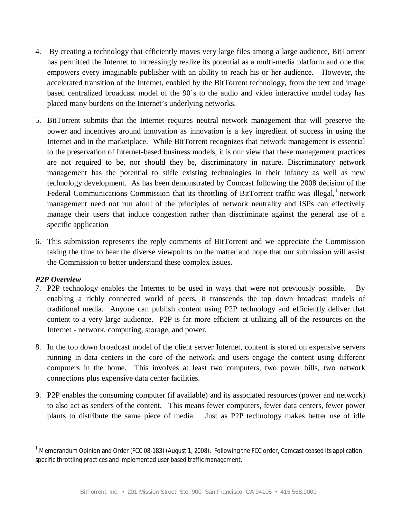- 4. By creating a technology that efficiently moves very large files among a large audience, BitTorrent has permitted the Internet to increasingly realize its potential as a multi-media platform and one that empowers every imaginable publisher with an ability to reach his or her audience. However, the accelerated transition of the Internet, enabled by the BitTorrent technology, from the text and image based centralized broadcast model of the 90's to the audio and video interactive model today has placed many burdens on the Internet's underlying networks.
- 5. BitTorrent submits that the Internet requires neutral network management that will preserve the power and incentives around innovation as innovation is a key ingredient of success in using the Internet and in the marketplace. While BitTorrent recognizes that network management is essential to the preservation of Internet-based business models, it is our view that these management practices are not required to be, nor should they be, discriminatory in nature. Discriminatory network management has the potential to stifle existing technologies in their infancy as well as new technology development. As has been demonstrated by Comcast following the 2008 decision of the Federal Communications Commission that its throttling of BitTorrent traffic was illegal,<sup>1</sup> network management need not run afoul of the principles of network neutrality and ISPs can effectively manage their users that induce congestion rather than discriminate against the general use of a specific application
- 6. This submission represents the reply comments of BitTorrent and we appreciate the Commission taking the time to hear the diverse viewpoints on the matter and hope that our submission will assist the Commission to better understand these complex issues.

### *P2P Overview*

 $\overline{\phantom{a}}$ 

- 7. P2P technology enables the Internet to be used in ways that were not previously possible. By enabling a richly connected world of peers, it transcends the top down broadcast models of traditional media. Anyone can publish content using P2P technology and efficiently deliver that content to a very large audience. P2P is far more efficient at utilizing all of the resources on the Internet - network, computing, storage, and power.
- 8. In the top down broadcast model of the client server Internet, content is stored on expensive servers running in data centers in the core of the network and users engage the content using different computers in the home. This involves at least two computers, two power bills, two network connections plus expensive data center facilities.
- 9. P2P enables the consuming computer (if available) and its associated resources (power and network) to also act as senders of the content. This means fewer computers, fewer data centers, fewer power plants to distribute the same piece of media. Just as P2P technology makes better use of idle

<sup>1</sup> Memorandum Opinion and Order (FCC 08-183) (August 1, 2008)**.** Following the FCC order, Comcast ceased its application specific throttling practices and implemented user based traffic management.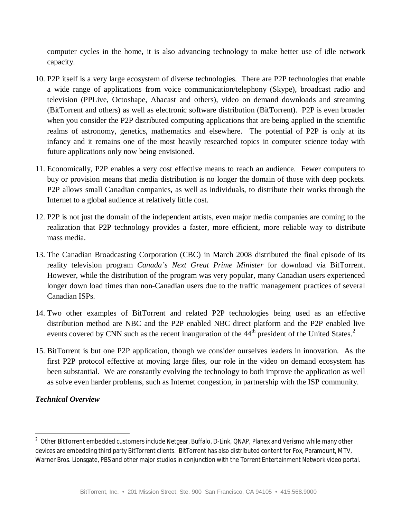computer cycles in the home, it is also advancing technology to make better use of idle network capacity.

- 10. P2P itself is a very large ecosystem of diverse technologies. There are P2P technologies that enable a wide range of applications from voice communication/telephony (Skype), broadcast radio and television (PPLive, Octoshape, Abacast and others), video on demand downloads and streaming (BitTorrent and others) as well as electronic software distribution (BitTorrent). P2P is even broader when you consider the P2P distributed computing applications that are being applied in the scientific realms of astronomy, genetics, mathematics and elsewhere. The potential of P2P is only at its infancy and it remains one of the most heavily researched topics in computer science today with future applications only now being envisioned.
- 11. Economically, P2P enables a very cost effective means to reach an audience. Fewer computers to buy or provision means that media distribution is no longer the domain of those with deep pockets. P2P allows small Canadian companies, as well as individuals, to distribute their works through the Internet to a global audience at relatively little cost.
- 12. P2P is not just the domain of the independent artists, even major media companies are coming to the realization that P2P technology provides a faster, more efficient, more reliable way to distribute mass media.
- 13. The Canadian Broadcasting Corporation (CBC) in March 2008 distributed the final episode of its reality television program *Canada's Next Great Prime Minister* for download via BitTorrent. However, while the distribution of the program was very popular, many Canadian users experienced longer down load times than non-Canadian users due to the traffic management practices of several Canadian ISPs.
- 14. Two other examples of BitTorrent and related P2P technologies being used as an effective distribution method are NBC and the P2P enabled NBC direct platform and the P2P enabled live events covered by CNN such as the recent inauguration of the  $44<sup>th</sup>$  president of the United States.<sup>2</sup>
- 15. BitTorrent is but one P2P application, though we consider ourselves leaders in innovation. As the first P2P protocol effective at moving large files, our role in the video on demand ecosystem has been substantial. We are constantly evolving the technology to both improve the application as well as solve even harder problems, such as Internet congestion, in partnership with the ISP community.

## *Technical Overview*

 2 Other BitTorrent embedded customers include Netgear, Buffalo, D-Link, QNAP, Planex and Verismo while many other devices are embedding third party BitTorrent clients. BitTorrent has also distributed content for Fox, Paramount, MTV, Warner Bros. Lionsgate, PBS and other major studios in conjunction with the Torrent Entertainment Network video portal.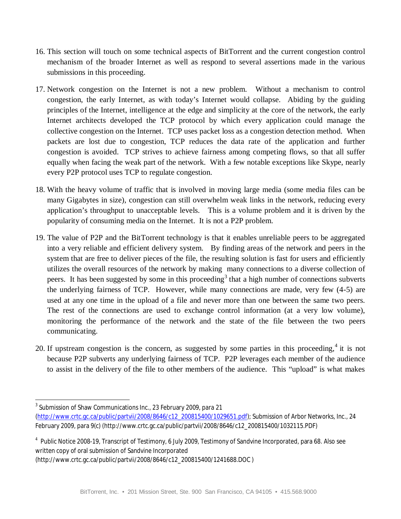- 16. This section will touch on some technical aspects of BitTorrent and the current congestion control mechanism of the broader Internet as well as respond to several assertions made in the various submissions in this proceeding.
- 17. Network congestion on the Internet is not a new problem. Without a mechanism to control congestion, the early Internet, as with today's Internet would collapse. Abiding by the guiding principles of the Internet, intelligence at the edge and simplicity at the core of the network, the early Internet architects developed the TCP protocol by which every application could manage the collective congestion on the Internet. TCP uses packet loss as a congestion detection method. When packets are lost due to congestion, TCP reduces the data rate of the application and further congestion is avoided. TCP strives to achieve fairness among competing flows, so that all suffer equally when facing the weak part of the network. With a few notable exceptions like Skype, nearly every P2P protocol uses TCP to regulate congestion.
- 18. With the heavy volume of traffic that is involved in moving large media (some media files can be many Gigabytes in size), congestion can still overwhelm weak links in the network, reducing every application's throughput to unacceptable levels. This is a volume problem and it is driven by the popularity of consuming media on the Internet. It is not a P2P problem.
- 19. The value of P2P and the BitTorrent technology is that it enables unreliable peers to be aggregated into a very reliable and efficient delivery system. By finding areas of the network and peers in the system that are free to deliver pieces of the file, the resulting solution is fast for users and efficiently utilizes the overall resources of the network by making many connections to a diverse collection of peers. It has been suggested by some in this proceeding<sup>3</sup> that a high number of connections subverts the underlying fairness of TCP. However, while many connections are made, very few (4-5) are used at any one time in the upload of a file and never more than one between the same two peers. The rest of the connections are used to exchange control information (at a very low volume), monitoring the performance of the network and the state of the file between the two peers communicating.
- 20. If upstream congestion is the concern, as suggested by some parties in this proceeding,  $4$  it is not because P2P subverts any underlying fairness of TCP. P2P leverages each member of the audience to assist in the delivery of the file to other members of the audience. This "upload" is what makes

 $\overline{a}$ 3 Submission of Shaw Communications Inc., 23 February 2009, para 21 (http://www.crtc.gc.ca/public/partvii/2008/8646/c12\_200815400/1029651.pdf); Submission of Arbor Networks, Inc., 24 February 2009, para 9(c) (http://www.crtc.gc.ca/public/partvii/2008/8646/c12\_200815400/1032115.PDF)

<sup>&</sup>lt;sup>4</sup> Public Notice 2008-19, Transcript of Testimony, 6 July 2009, Testimony of Sandvine Incorporated, para 68. Also see written copy of oral submission of Sandvine Incorporated (http://www.crtc.gc.ca/public/partvii/2008/8646/c12\_200815400/1241688.DOC )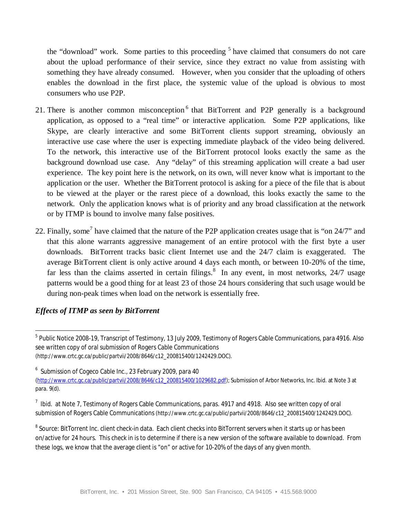the "download" work. Some parties to this proceeding <sup>5</sup> have claimed that consumers do not care about the upload performance of their service, since they extract no value from assisting with something they have already consumed. However, when you consider that the uploading of others enables the download in the first place, the systemic value of the upload is obvious to most consumers who use P2P.

- 21. There is another common misconception<sup>6</sup> that BitTorrent and P2P generally is a background application, as opposed to a "real time" or interactive application. Some P2P applications, like Skype, are clearly interactive and some BitTorrent clients support streaming, obviously an interactive use case where the user is expecting immediate playback of the video being delivered. To the network, this interactive use of the BitTorrent protocol looks exactly the same as the background download use case. Any "delay" of this streaming application will create a bad user experience. The key point here is the network, on its own, will never know what is important to the application or the user. Whether the BitTorrent protocol is asking for a piece of the file that is about to be viewed at the player or the rarest piece of a download, this looks exactly the same to the network. Only the application knows what is of priority and any broad classification at the network or by ITMP is bound to involve many false positives.
- 22. Finally, some<sup>7</sup> have claimed that the nature of the P2P application creates usage that is "on  $24/7$ " and that this alone warrants aggressive management of an entire protocol with the first byte a user downloads. BitTorrent tracks basic client Internet use and the 24/7 claim is exaggerated. The average BitTorrent client is only active around 4 days each month, or between 10-20% of the time, far less than the claims asserted in certain filings.<sup>8</sup> In any event, in most networks,  $24/7$  usage patterns would be a good thing for at least 23 of those 24 hours considering that such usage would be during non-peak times when load on the network is essentially free.

# *Effects of ITMP as seen by BitTorrent*

 $\overline{a}$  $^5$  Public Notice 2008-19, Transcript of Testimony, 13 July 2009, Testimony of Rogers Cable Communications, para 4916. Also see written copy of oral submission of Rogers Cable Communications (http://www.crtc.gc.ca/public/partvii/2008/8646/c12\_200815400/1242429.DOC).

<sup>6</sup> Submission of Cogeco Cable Inc., 23 February 2009, para 40

<sup>(</sup>http://www.crtc.gc.ca/public/partvii/2008/8646/c12\_200815400/1029682.pdf); Submission of Arbor Networks, Inc. Ibid. at Note 3 at para. 9(d).

 $^7$  Ibid. at Note 7, Testimony of Rogers Cable Communications, paras. 4917 and 4918. Also see written copy of oral submission of Rogers Cable Communications (http://www.crtc.gc.ca/public/partvii/2008/8646/c12\_200815400/1242429.DOC).

 $^8$  Source: BitTorrent Inc. client check-in data. Each client checks into BitTorrent servers when it starts up or has been on/active for 24 hours. This check in is to determine if there is a new version of the software available to download. From these logs, we know that the average client is "on" or active for 10-20% of the days of any given month.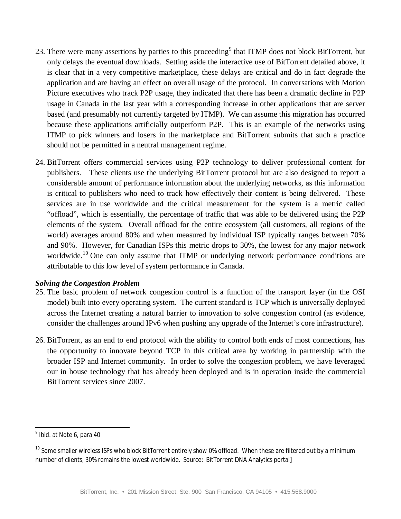- 23. There were many assertions by parties to this proceeding<sup>9</sup> that ITMP does not block BitTorrent, but only delays the eventual downloads. Setting aside the interactive use of BitTorrent detailed above, it is clear that in a very competitive marketplace, these delays are critical and do in fact degrade the application and are having an effect on overall usage of the protocol. In conversations with Motion Picture executives who track P2P usage, they indicated that there has been a dramatic decline in P2P usage in Canada in the last year with a corresponding increase in other applications that are server based (and presumably not currently targeted by ITMP). We can assume this migration has occurred because these applications artificially outperform P2P. This is an example of the networks using ITMP to pick winners and losers in the marketplace and BitTorrent submits that such a practice should not be permitted in a neutral management regime.
- 24. BitTorrent offers commercial services using P2P technology to deliver professional content for publishers. These clients use the underlying BitTorrent protocol but are also designed to report a considerable amount of performance information about the underlying networks, as this information is critical to publishers who need to track how effectively their content is being delivered. These services are in use worldwide and the critical measurement for the system is a metric called "offload", which is essentially, the percentage of traffic that was able to be delivered using the P2P elements of the system. Overall offload for the entire ecosystem (all customers, all regions of the world) averages around 80% and when measured by individual ISP typically ranges between 70% and 90%. However, for Canadian ISPs this metric drops to 30%, the lowest for any major network worldwide.<sup>10</sup> One can only assume that ITMP or underlying network performance conditions are attributable to this low level of system performance in Canada.

### *Solving the Congestion Problem*

- 25. The basic problem of network congestion control is a function of the transport layer (in the OSI model) built into every operating system. The current standard is TCP which is universally deployed across the Internet creating a natural barrier to innovation to solve congestion control (as evidence, consider the challenges around IPv6 when pushing any upgrade of the Internet's core infrastructure).
- 26. BitTorrent, as an end to end protocol with the ability to control both ends of most connections, has the opportunity to innovate beyond TCP in this critical area by working in partnership with the broader ISP and Internet community. In order to solve the congestion problem, we have leveraged our in house technology that has already been deployed and is in operation inside the commercial BitTorrent services since 2007.

 $\overline{\phantom{a}}$ 

<sup>9</sup> Ibid. at Note 6, para 40

<sup>&</sup>lt;sup>10</sup> Some smaller wireless ISPs who block BitTorrent entirely show 0% offload. When these are filtered out by a minimum number of clients, 30% remains the lowest worldwide. Source: BitTorrent DNA Analytics portal]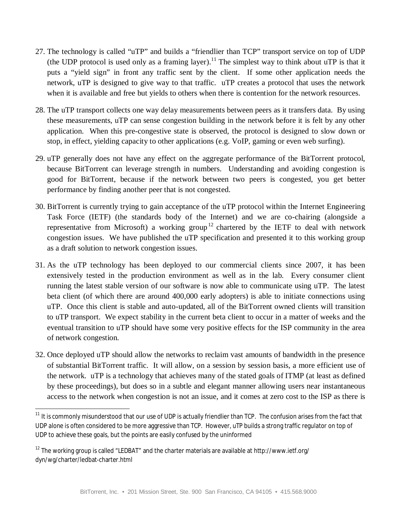- 27. The technology is called "uTP" and builds a "friendlier than TCP" transport service on top of UDP (the UDP protocol is used only as a framing layer).<sup>11</sup> The simplest way to think about uTP is that it puts a "yield sign" in front any traffic sent by the client. If some other application needs the network, uTP is designed to give way to that traffic. uTP creates a protocol that uses the network when it is available and free but yields to others when there is contention for the network resources.
- 28. The uTP transport collects one way delay measurements between peers as it transfers data. By using these measurements, uTP can sense congestion building in the network before it is felt by any other application. When this pre-congestive state is observed, the protocol is designed to slow down or stop, in effect, yielding capacity to other applications (e.g. VoIP, gaming or even web surfing).
- 29. uTP generally does not have any effect on the aggregate performance of the BitTorrent protocol, because BitTorrent can leverage strength in numbers. Understanding and avoiding congestion is good for BitTorrent, because if the network between two peers is congested, you get better performance by finding another peer that is not congested.
- 30. BitTorrent is currently trying to gain acceptance of the uTP protocol within the Internet Engineering Task Force (IETF) (the standards body of the Internet) and we are co-chairing (alongside a representative from Microsoft) a working group<sup>12</sup> chartered by the IETF to deal with network congestion issues. We have published the uTP specification and presented it to this working group as a draft solution to network congestion issues.
- 31. As the uTP technology has been deployed to our commercial clients since 2007, it has been extensively tested in the production environment as well as in the lab. Every consumer client running the latest stable version of our software is now able to communicate using uTP. The latest beta client (of which there are around 400,000 early adopters) is able to initiate connections using uTP. Once this client is stable and auto-updated, all of the BitTorrent owned clients will transition to uTP transport. We expect stability in the current beta client to occur in a matter of weeks and the eventual transition to uTP should have some very positive effects for the ISP community in the area of network congestion.
- 32. Once deployed uTP should allow the networks to reclaim vast amounts of bandwidth in the presence of substantial BitTorrent traffic. It will allow, on a session by session basis, a more efficient use of the network. uTP is a technology that achieves many of the stated goals of ITMP (at least as defined by these proceedings), but does so in a subtle and elegant manner allowing users near instantaneous access to the network when congestion is not an issue, and it comes at zero cost to the ISP as there is

 $\overline{\phantom{a}}$ <sup>11</sup> It is commonly misunderstood that our use of UDP is actually friendlier than TCP. The confusion arises from the fact that UDP alone is often considered to be more aggressive than TCP. However, uTP builds a strong traffic regulator on top of UDP to achieve these goals, but the points are easily confused by the uninformed

 $12$  The working group is called "LEDBAT" and the charter materials are available at http://www.ietf.org/ dyn/wg/charter/ledbat-charter.html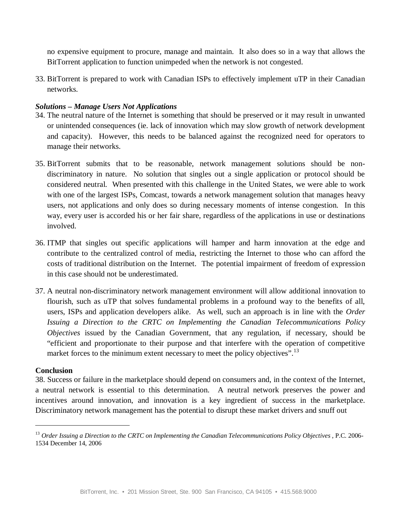no expensive equipment to procure, manage and maintain. It also does so in a way that allows the BitTorrent application to function unimpeded when the network is not congested.

33. BitTorrent is prepared to work with Canadian ISPs to effectively implement uTP in their Canadian networks.

## *Solutions – Manage Users Not Applications*

- 34. The neutral nature of the Internet is something that should be preserved or it may result in unwanted or unintended consequences (ie. lack of innovation which may slow growth of network development and capacity). However, this needs to be balanced against the recognized need for operators to manage their networks.
- 35. BitTorrent submits that to be reasonable, network management solutions should be nondiscriminatory in nature. No solution that singles out a single application or protocol should be considered neutral. When presented with this challenge in the United States, we were able to work with one of the largest ISPs, Comcast, towards a network management solution that manages heavy users, not applications and only does so during necessary moments of intense congestion. In this way, every user is accorded his or her fair share, regardless of the applications in use or destinations involved.
- 36. ITMP that singles out specific applications will hamper and harm innovation at the edge and contribute to the centralized control of media, restricting the Internet to those who can afford the costs of traditional distribution on the Internet. The potential impairment of freedom of expression in this case should not be underestimated.
- 37. A neutral non-discriminatory network management environment will allow additional innovation to flourish, such as uTP that solves fundamental problems in a profound way to the benefits of all, users, ISPs and application developers alike. As well, such an approach is in line with the *Order Issuing a Direction to the CRTC on Implementing the Canadian Telecommunications Policy Objectives* issued by the Canadian Government, that any regulation, if necessary, should be "efficient and proportionate to their purpose and that interfere with the operation of competitive market forces to the minimum extent necessary to meet the policy objectives".<sup>13</sup>

#### **Conclusion**

 $\overline{a}$ 

38. Success or failure in the marketplace should depend on consumers and, in the context of the Internet, a neutral network is essential to this determination. A neutral network preserves the power and incentives around innovation, and innovation is a key ingredient of success in the marketplace. Discriminatory network management has the potential to disrupt these market drivers and snuff out

<sup>13</sup> *Order Issuing a Direction to the CRTC on Implementing the Canadian Telecommunications Policy Objectives* , P.C. 2006- 1534 December 14, 2006